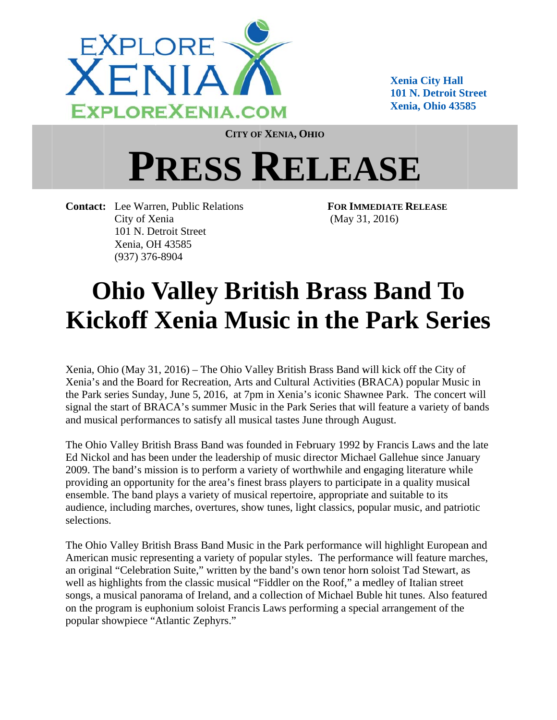

**Xenia City Hall 101 N. Detroit Street Xenia, Ohio 43585** 

CITY OF XENIA, OHIO

## **PRESS RELEASE**

**Contact:** Lee Warren, Public Relations City of Xenia 101 N. Detroit Street Xenia, OH 43585  $(937)$  376-8904

**FOR IMMEDIATE RELEASE**  $(May 31, 2016)$ 

## **Ohio Valley British Brass Band To Kickoff Xenia Music in the Park Series**

Xenia, Ohio (May 31, 2016) – The Ohio Valley British Brass Band will kick off the City of Xenia's and the Board for Recreation, Arts and Cultural Activities (BRACA) popular Music in the Park series Sunday, June 5, 2016, at 7pm in Xenia's iconic Shawnee Park. The concert will signal the start of BRACA's summer Music in the Park Series that will feature a variety of bands and musical performances to satisfy all musical tastes June through August.

The Ohio Valley British Brass Band was founded in February 1992 by Francis Laws and the late Ed Nickol and has been under the leadership of music director Michael Gallehue since January 2009. The band's mission is to perform a variety of worthwhile and engaging literature while providing an opportunity for the area's finest brass players to participate in a quality musical ensemble. The band plays a variety of musical repertoire, appropriate and suitable to its audience, including marches, overtures, show tunes, light classics, popular music, and patriotic selections.

The Ohio Valley British Brass Band Music in the Park performance will highlight European and American music representing a variety of popular styles. The performance will feature marches, an original "Celebration Suite," written by the band's own tenor horn soloist Tad Stewart, as well as highlights from the classic musical "Fiddler on the Roof," a medley of Italian street songs, a musical panorama of Ireland, and a collection of Michael Buble hit tunes. Also featured on the program is euphonium soloist Francis Laws performing a special arrangement of the popular showpiece "Atlantic Zephyrs."